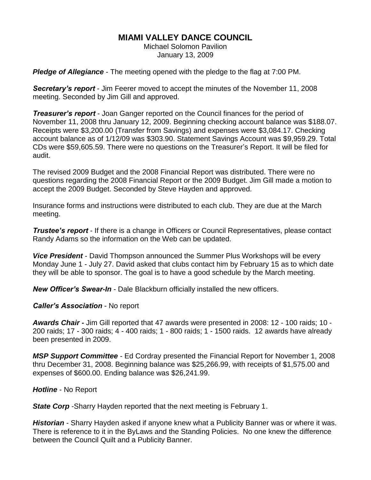## **MIAMI VALLEY DANCE COUNCIL**

Michael Solomon Pavilion January 13, 2009

*Pledge of Allegiance* - The meeting opened with the pledge to the flag at 7:00 PM.

*Secretary's report* - Jim Feerer moved to accept the minutes of the November 11, 2008 meeting. Seconded by Jim Gill and approved.

*Treasurer's report* - Joan Ganger reported on the Council finances for the period of November 11, 2008 thru January 12, 2009. Beginning checking account balance was \$188.07. Receipts were \$3,200.00 (Transfer from Savings) and expenses were \$3,084.17. Checking account balance as of 1/12/09 was \$303.90. Statement Savings Account was \$9,959.29. Total CDs were \$59,605.59. There were no questions on the Treasurer's Report. It will be filed for audit.

The revised 2009 Budget and the 2008 Financial Report was distributed. There were no questions regarding the 2008 Financial Report or the 2009 Budget. Jim Gill made a motion to accept the 2009 Budget. Seconded by Steve Hayden and approved.

Insurance forms and instructions were distributed to each club. They are due at the March meeting.

*Trustee's report* - If there is a change in Officers or Council Representatives, please contact Randy Adams so the information on the Web can be updated.

*Vice President* - David Thompson announced the Summer Plus Workshops will be every Monday June 1 - July 27. David asked that clubs contact him by February 15 as to which date they will be able to sponsor. The goal is to have a good schedule by the March meeting.

*New Officer's Swear-In* - Dale Blackburn officially installed the new officers.

*Caller's Association* - No report

*Awards Chair -* Jim Gill reported that 47 awards were presented in 2008: 12 - 100 raids; 10 - 200 raids; 17 - 300 raids; 4 - 400 raids; 1 - 800 raids; 1 - 1500 raids. 12 awards have already been presented in 2009.

*MSP Support Committee* - Ed Cordray presented the Financial Report for November 1, 2008 thru December 31, 2008. Beginning balance was \$25,266.99, with receipts of \$1,575.00 and expenses of \$600.00. Ending balance was \$26,241.99.

*Hotline* - No Report

**State Corp** - Sharry Hayden reported that the next meeting is February 1.

*Historian* - Sharry Hayden asked if anyone knew what a Publicity Banner was or where it was. There is reference to it in the ByLaws and the Standing Policies. No one knew the difference between the Council Quilt and a Publicity Banner.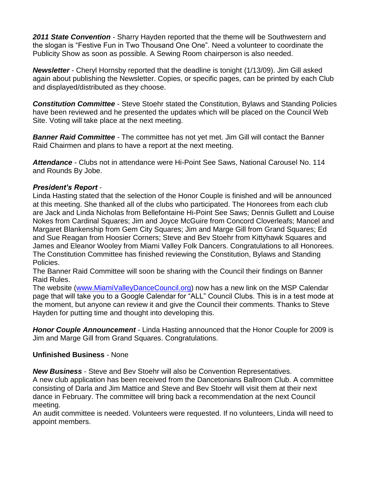*2011 State Convention* - Sharry Hayden reported that the theme will be Southwestern and the slogan is "Festive Fun in Two Thousand One One". Need a volunteer to coordinate the Publicity Show as soon as possible. A Sewing Room chairperson is also needed.

*Newsletter* - Cheryl Hornsby reported that the deadline is tonight (1/13/09). Jim Gill asked again about publishing the Newsletter. Copies, or specific pages, can be printed by each Club and displayed/distributed as they choose.

*Constitution Committee* - Steve Stoehr stated the Constitution, Bylaws and Standing Policies have been reviewed and he presented the updates which will be placed on the Council Web Site. Voting will take place at the next meeting.

*Banner Raid Committee* - The committee has not yet met. Jim Gill will contact the Banner Raid Chairmen and plans to have a report at the next meeting.

*Attendance* - Clubs not in attendance were Hi-Point See Saws, National Carousel No. 114 and Rounds By Jobe.

## *President's Report* -

Linda Hasting stated that the selection of the Honor Couple is finished and will be announced at this meeting. She thanked all of the clubs who participated. The Honorees from each club are Jack and Linda Nicholas from Bellefontaine Hi-Point See Saws; Dennis Gullett and Louise Nokes from Cardinal Squares; Jim and Joyce McGuire from Concord Cloverleafs; Mancel and Margaret Blankenship from Gem City Squares; Jim and Marge Gill from Grand Squares; Ed and Sue Reagan from Hoosier Corners; Steve and Bev Stoehr from Kittyhawk Squares and James and Eleanor Wooley from Miami Valley Folk Dancers. Congratulations to all Honorees. The Constitution Committee has finished reviewing the Constitution, Bylaws and Standing Policies.

The Banner Raid Committee will soon be sharing with the Council their findings on Banner Raid Rules.

The website [\(www.MiamiValleyDanceCouncil.org\)](http://www.miamivalleydancecouncil.org/) now has a new link on the MSP Calendar page that will take you to a Google Calendar for "ALL" Council Clubs. This is in a test mode at the moment, but anyone can review it and give the Council their comments. Thanks to Steve Hayden for putting time and thought into developing this.

*Honor Couple Announcement* - Linda Hasting announced that the Honor Couple for 2009 is Jim and Marge Gill from Grand Squares. Congratulations.

## **Unfinished Business** - None

*New Business* - Steve and Bev Stoehr will also be Convention Representatives.

A new club application has been received from the Dancetonians Ballroom Club. A committee consisting of Darla and Jim Mattice and Steve and Bev Stoehr will visit them at their next dance in February. The committee will bring back a recommendation at the next Council meeting.

An audit committee is needed. Volunteers were requested. If no volunteers, Linda will need to appoint members.